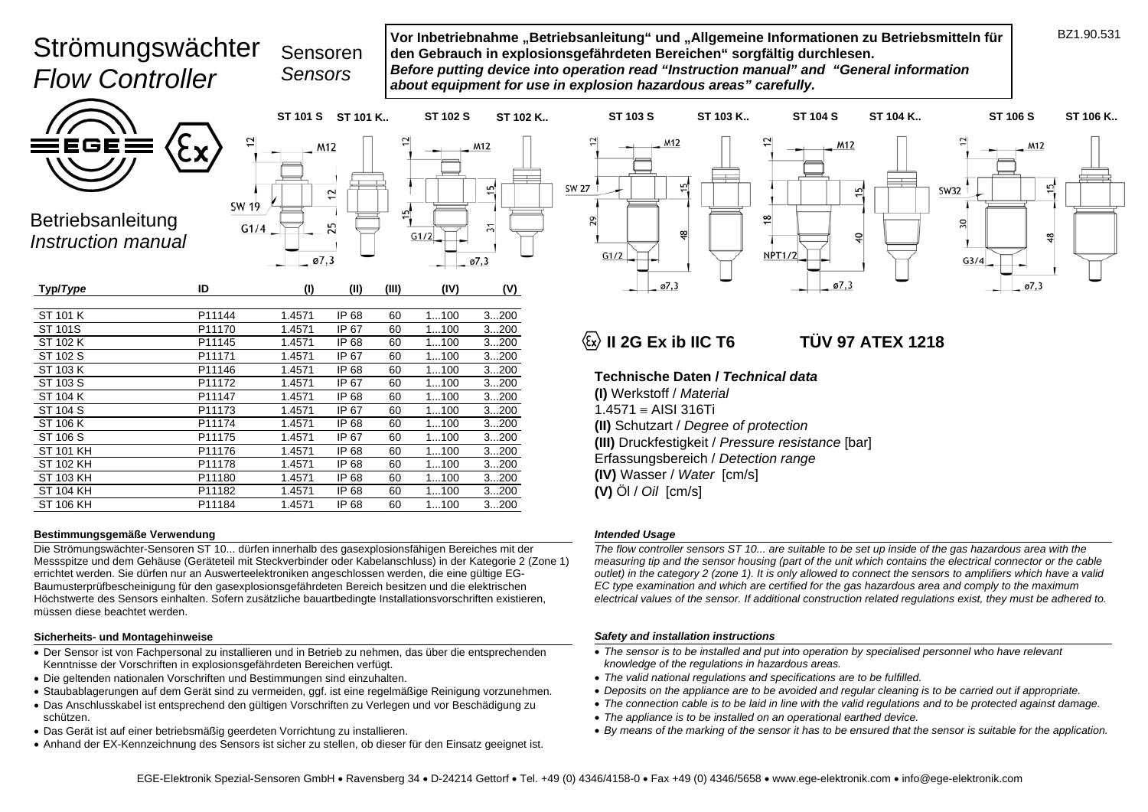# Strömungswächter *Flow Controller*



**Vor Inbetriebnahme "Betriebsanleitung" und "Allgemeine Informationen zu Betriebsmitteln für den Gebrauch in explosionsgefährdeten Bereichen" sorgfältig durchlesen.**  *Before putting device into operation read "Instruction manual" and "General information about equipment for use in explosion hazardous areas" carefully.* 

ఇ

ø7,3

EGE

Betriebsanleitung *Instruction manual* 



| P11144 | 1.4571 | IP 68 | 60 | 1100 | 3200 |
|--------|--------|-------|----|------|------|
| P11170 | 1.4571 | IP 67 | 60 | 1100 | 3200 |
| P11145 | 1.4571 | IP 68 | 60 | 1100 | 3200 |
| P11171 | 1.4571 | IP 67 | 60 | 1100 | 3200 |
| P11146 | 1.4571 | IP 68 | 60 | 1100 | 3200 |
| P11172 | 1.4571 | IP 67 | 60 | 1100 | 3200 |
| P11147 | 1.4571 | IP 68 | 60 | 1100 | 3200 |
| P11173 | 1.4571 | IP 67 | 60 | 1100 | 3200 |
| P11174 | 1.4571 | IP 68 | 60 | 1100 | 3200 |
| P11175 | 1.4571 | IP 67 | 60 | 1100 | 3200 |
| P11176 | 1.4571 | IP 68 | 60 | 1100 | 3200 |
| P11178 | 1.4571 | IP 68 | 60 | 1100 | 3200 |
| P11180 | 1.4571 | IP 68 | 60 | 1100 | 3200 |
| P11182 | 1.4571 | IP 68 | 60 | 1100 | 3200 |
| P11184 | 1.4571 | IP 68 | 60 | 1100 | 3200 |
|        |        |       |    |      |      |

#### **Bestimmungsgemäße Verwendung**

Die Strömungswächter-Sensoren ST 10... dürfen innerhalb des gasexplosionsfähigen Bereiches mit der Messspitze und dem Gehäuse (Geräteteil mit Steckverbinder oder Kabelanschluss) in der Kategorie 2 (Zone 1) errichtet werden. Sie dürfen nur an Auswerteelektroniken angeschlossen werden, die eine gültige EG-Baumusterprüfbescheinigung für den gasexplosionsgefährdeten Bereich besitzen und die elektrischen Höchstwerte des Sensors einhalten. Sofern zusätzliche bauartbedingte Installationsvorschriften existieren, müssen diese beachtet werden.

#### **Sicherheits- und Montagehinweise**

- Der Sensor ist von Fachpersonal zu installieren und in Betrieb zu nehmen, das über die entsprechenden Kenntnisse der Vorschriften in explosionsgefährdeten Bereichen verfügt.
- Die geltenden nationalen Vorschriften und Bestimmungen sind einzuhalten.
- Staubablagerungen auf dem Gerät sind zu vermeiden, ggf. ist eine regelmäßige Reinigung vorzunehmen.
- Das Anschlusskabel ist entsprechend den gültigen Vorschriften zu Verlegen und vor Beschädigung zu schützen.
- Das Gerät ist auf einer betriebsmäßig geerdeten Vorrichtung zu installieren.
- Anhand der EX-Kennzeichnung des Sensors ist sicher zu stellen, ob dieser für den Einsatz geeignet ist.

# **Ex 1218** II 2G Ex ib IIC T6 TÜV 97 ATEX 1218

M12

 $\overline{5}$ 

유

ø7.3

**Technische Daten /** *Technical data*

**(I)** Werkstoff / *Material*   $1.4571 =$  AISI 316Ti **(II)** Schutzart / *Degree of protection* **(III)** Druckfestigkeit / *Pressure resistance* [bar] Erfassungsbereich / *Detection range* **(IV)** Wasser / *Water* [cm/s] **(V)** Öl / *Oil* [cm/s]

≌

NPT1/2

#### *Intended Usage*

*The flow controller sensors ST 10... are suitable to be set up inside of the gas hazardous area with the measuring tip and the sensor housing (part of the unit which contains the electrical connector or the cable outlet) in the category 2 (zone 1). It is only allowed to connect the sensors to amplifiers which have a valid EC type examination and which are certified for the gas hazardous area and comply to the maximum electrical values of the sensor. If additional construction related regulations exist, they must be adhered to.* 

#### *Safety and installation instructions*

- The sensor is to be installed and put into operation by specialised personnel who have relevant *knowledge of the regulations in hazardous areas.*
- *The valid national regulations and specifications are to be fulfilled.*
- *Deposits on the appliance are to be avoided and regular cleaning is to be carried out if appropriate.*
- *The connection cable is to be laid in line with the valid regulations and to be protected against damage.*
- *The appliance is to be installed on an operational earthed device.*
- *By means of the marking of the sensor it has to be ensured that the sensor is suitable for the application.*

M12

**SW32** 

õ

 $G3/4$ 

 $\overline{5}$ 

≌

ø7,3

**SW 27** 

29

 $G1/2$